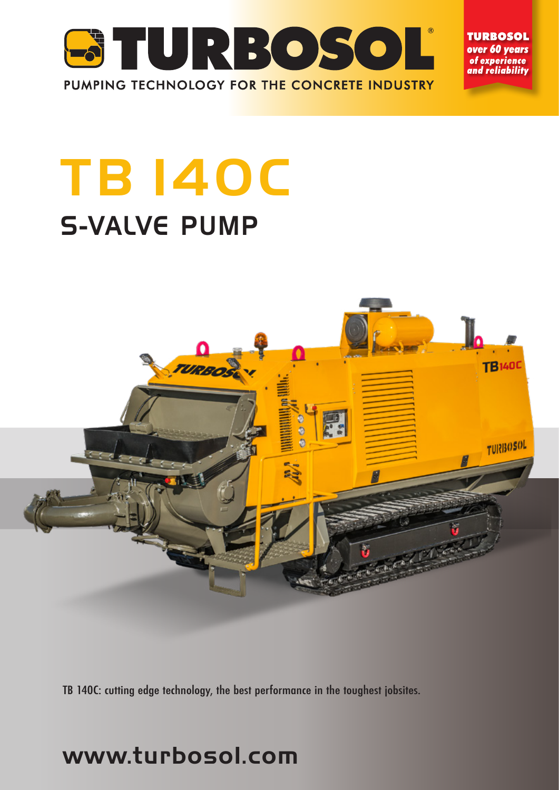

**TURBOSOL** over 60 years of experience and reliabilitv

# **TB 140C** S-VALVE PUMP



TB 140C: cutting edge technology, the best performance in the toughest jobsites.

## www.turbosol.com